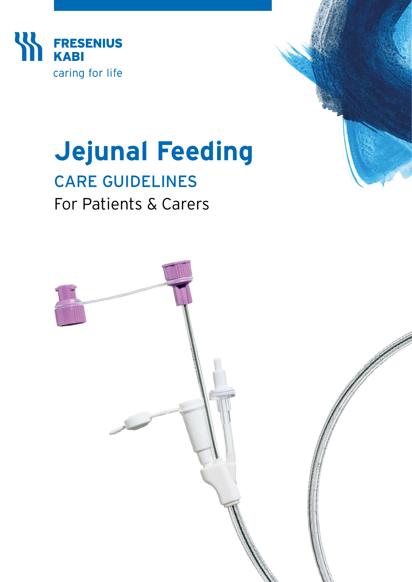

# **Jejunal Feeding**

# CARE GUIDELINES For Patients & Carers

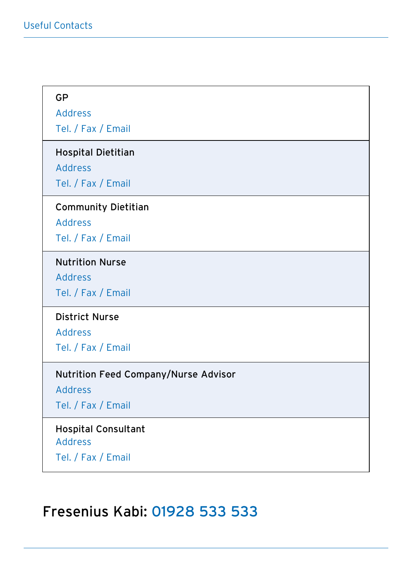### GP

Address

Tel. / Fax / Email

#### Hospital Dietitian

Address

Tel. / Fax / Email

#### Community Dietitian

Address

Tel. / Fax / Email

#### Nutrition Nurse

Address

Tel. / Fax / Email

#### District Nurse

Address

Tel. / Fax / Email

#### Nutrition Feed Company/Nurse Advisor

Address

Tel. / Fax / Email

#### Hospital Consultant Address

Tel. / Fax / Email

### Fresenius Kabi: 01928 533 533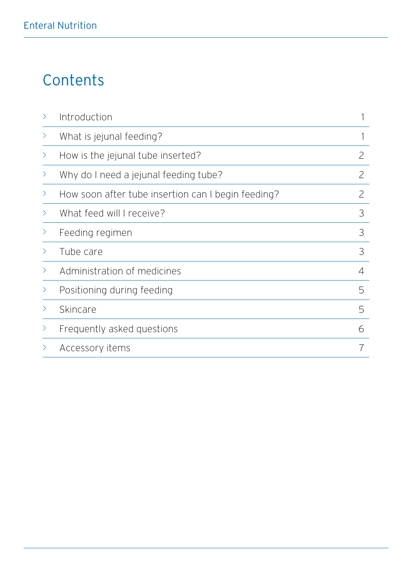# **Contents**

| $\rightarrow$ | Introduction                                       |   |
|---------------|----------------------------------------------------|---|
| $\rightarrow$ | What is jejunal feeding?                           |   |
| ⋗             | How is the jejunal tube inserted?                  | 2 |
| ⋗             | Why do I need a jejunal feeding tube?              | 2 |
| ⋗             | How soon after tube insertion can I begin feeding? | 2 |
| ⋋             | What feed will I receive?                          | 3 |
|               | Feeding regimen                                    | 3 |
| ⋋             | Tube care                                          | 3 |
| ⋋             | Administration of medicines                        | 4 |
| ⋋             | Positioning during feeding                         | 5 |
| ⋋             | Skincare                                           | 5 |
| ゝ             | Frequently asked questions                         | 6 |
|               | Accessory items                                    |   |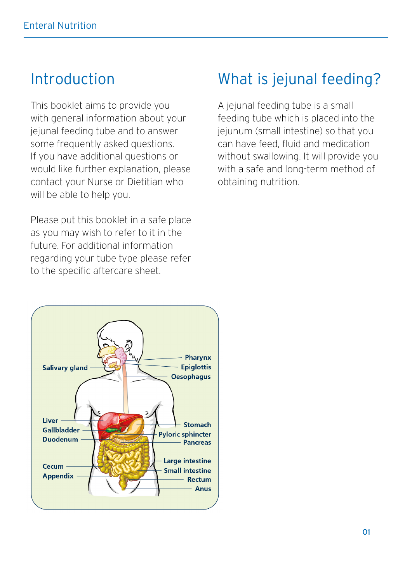### Introduction

This booklet aims to provide you with general information about your jejunal feeding tube and to answer some frequently asked questions. If you have additional questions or would like further explanation, please contact your Nurse or Dietitian who will be able to help you.

Please put this booklet in a safe place as you may wish to refer to it in the future. For additional information regarding your tube type please refer to the specific aftercare sheet.



### What is jejunal feeding?

A jejunal feeding tube is a small feeding tube which is placed into the jejunum (small intestine) so that you can have feed, fluid and medication without swallowing. It will provide you with a safe and long-term method of obtaining nutrition.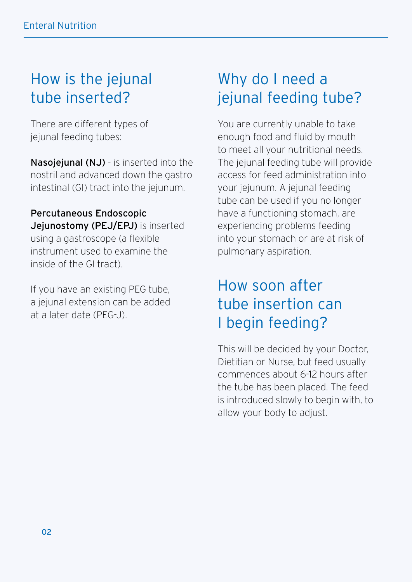# How is the jejunal tube inserted?

There are different types of jejunal feeding tubes:

Nasojejunal (NJ) - is inserted into the nostril and advanced down the gastro intestinal (GI) tract into the jejunum.

Percutaneous Endoscopic Jejunostomy (PEJ/EPJ) is inserted using a gastroscope (a flexible instrument used to examine the inside of the GI tract).

If you have an existing PEG tube, a jejunal extension can be added at a later date (PEG-J).

# Why do I need a jejunal feeding tube?

You are currently unable to take enough food and fluid by mouth to meet all your nutritional needs. The jejunal feeding tube will provide access for feed administration into your jejunum. A jejunal feeding tube can be used if you no longer have a functioning stomach, are experiencing problems feeding into your stomach or are at risk of pulmonary aspiration.

### How soon after tube insertion can I begin feeding?

This will be decided by your Doctor, Dietitian or Nurse, but feed usually commences about 6-12 hours after the tube has been placed. The feed is introduced slowly to begin with, to allow your body to adjust.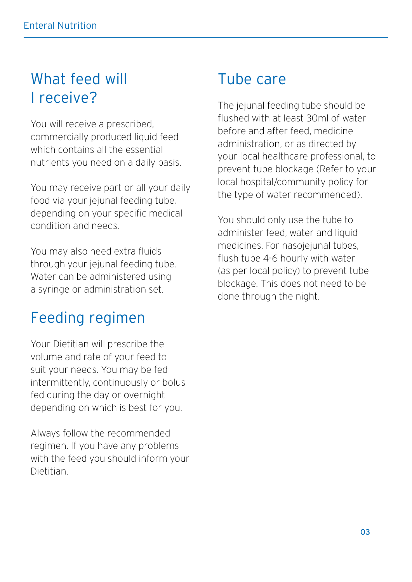### What feed will I receive?

You will receive a prescribed, commercially produced liquid feed which contains all the essential nutrients you need on a daily basis.

You may receive part or all your daily food via your jejunal feeding tube, depending on your specific medical condition and needs.

You may also need extra fluids through your jejunal feeding tube. Water can be administered using a syringe or administration set.

### Feeding regimen

Your Dietitian will prescribe the volume and rate of your feed to suit your needs. You may be fed intermittently, continuously or bolus fed during the day or overnight depending on which is best for you.

Always follow the recommended regimen. If you have any problems with the feed you should inform your **Dietitian** 

### Tube care

The jejunal feeding tube should be flushed with at least 30ml of water before and after feed, medicine administration, or as directed by your local healthcare professional, to prevent tube blockage (Refer to your local hospital/community policy for the type of water recommended).

You should only use the tube to administer feed, water and liquid medicines. For nasojejunal tubes, flush tube 4-6 hourly with water (as per local policy) to prevent tube blockage. This does not need to be done through the night.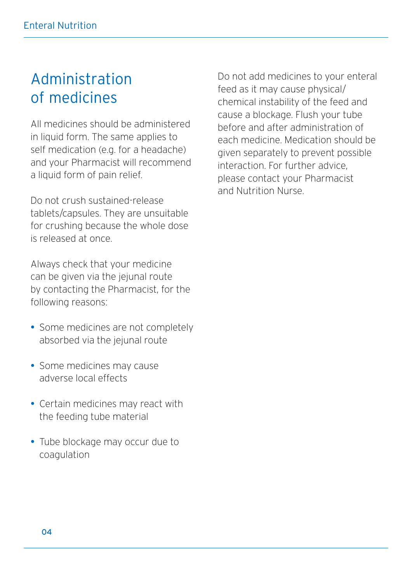### Administration of medicines

All medicines should be administered in liquid form. The same applies to self medication (e.g. for a headache) and your Pharmacist will recommend a liquid form of pain relief.

Do not crush sustained-release tablets/capsules. They are unsuitable for crushing because the whole dose is released at once.

Always check that your medicine can be given via the jejunal route by contacting the Pharmacist, for the following reasons:

- Some medicines are not completely absorbed via the jejunal route
- Some medicines may cause adverse local effects
- Certain medicines may react with the feeding tube material
- Tube blockage may occur due to coagulation

Do not add medicines to your enteral feed as it may cause physical/ chemical instability of the feed and cause a blockage. Flush your tube before and after administration of each medicine. Medication should be given separately to prevent possible interaction. For further advice, please contact your Pharmacist and Nutrition Nurse.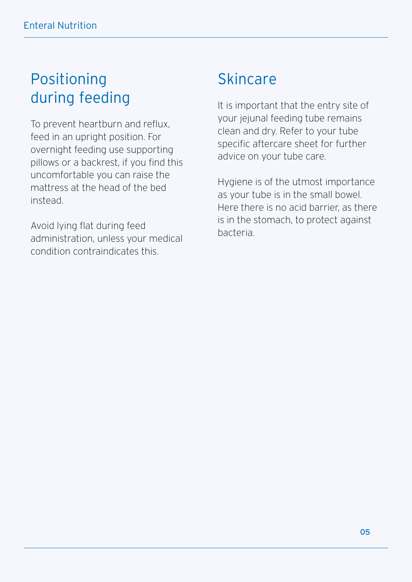### Positioning during feeding

To prevent heartburn and reflux, feed in an upright position. For overnight feeding use supporting pillows or a backrest, if you find this uncomfortable you can raise the mattress at the head of the bed instead.

Avoid lying flat during feed administration, unless your medical condition contraindicates this.

### **Skincare**

It is important that the entry site of your jejunal feeding tube remains clean and dry. Refer to your tube specific aftercare sheet for further advice on your tube care.

Hygiene is of the utmost importance as your tube is in the small bowel. Here there is no acid barrier, as there is in the stomach, to protect against bacteria.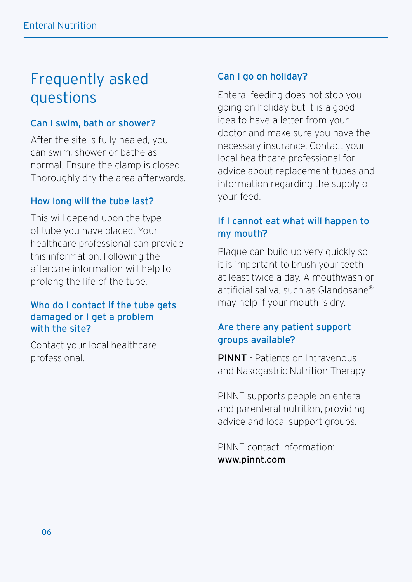# Frequently asked questions

#### Can I swim, bath or shower?

After the site is fully healed, you can swim, shower or bathe as normal. Ensure the clamp is closed. Thoroughly dry the area afterwards.

#### How long will the tube last?

This will depend upon the type of tube you have placed. Your healthcare professional can provide this information. Following the aftercare information will help to prolong the life of the tube.

#### Who do I contact if the tube gets damaged or I get a problem with the site?

Contact your local healthcare professional.

#### Can I go on holiday?

Enteral feeding does not stop you going on holiday but it is a good idea to have a letter from your doctor and make sure you have the necessary insurance. Contact your local healthcare professional for advice about replacement tubes and information regarding the supply of your feed.

### If I cannot eat what will happen to my mouth?

Plaque can build up very quickly so it is important to brush your teeth at least twice a day. A mouthwash or artificial saliva, such as Glandosane® may help if your mouth is dry.

#### Are there any patient support groups available?

PINNT - Patients on Intravenous and Nasogastric Nutrition Therapy

PINNT supports people on enteral and parenteral nutrition, providing advice and local support groups.

PINNT contact information: www.pinnt.com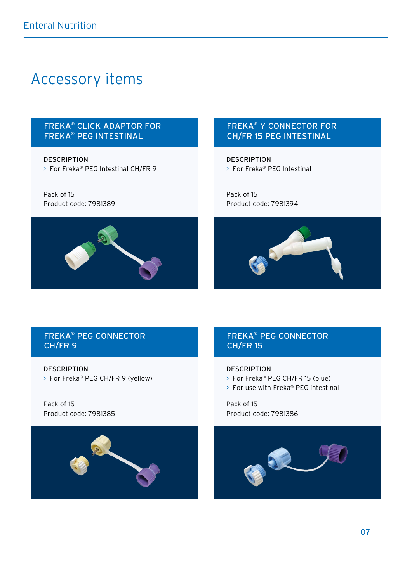### Accessory items

#### FREKA® CLICK ADAPTOR FOR FREKA® PEG INTESTINAL

**DESCRIPTION** > For Freka® PEG Intestinal CH/FR 9

Pack of 15 Product code: 7981389



#### FREKA® Y CONNECTOR FOR CH/FR 15 PEG INTESTINAL

**DESCRIPTION** > For Freka® PEG Intestinal

Pack of 15 Product code: 7981394



#### FREKA® PEG CONNECTOR CH/FR 9

DESCRIPTION > For Freka® PEG CH/FR 9 (yellow)

Pack of 15 Product code: 7981385



#### FREKA® PEG CONNECTOR CH/FR 15

#### DESCRIPTION

- > For Freka® PEG CH/FR 15 (blue)
- > For use with Freka® PEG intestinal

Pack of 15 Product code: 7981386